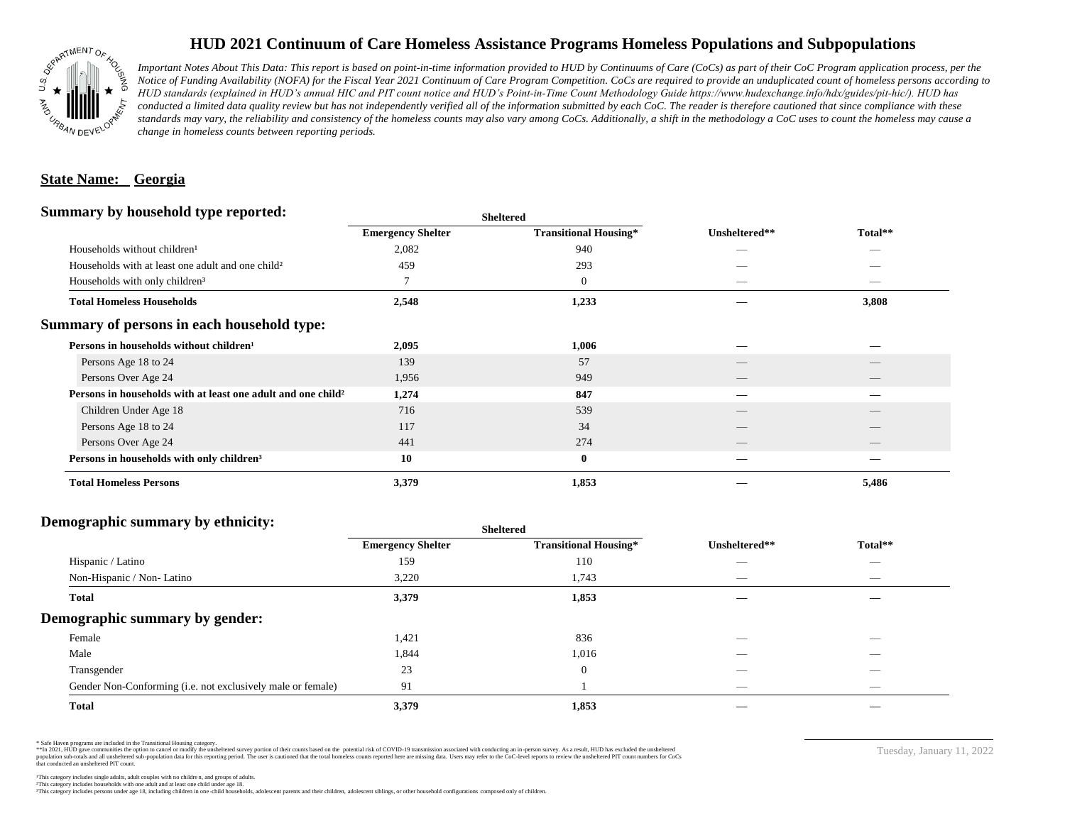

## **HUD 2021 Continuum of Care Homeless Assistance Programs Homeless Populations and Subpopulations**

*Important Notes About This Data: This report is based on point-in-time information provided to HUD by Continuums of Care (CoCs) as part of their CoC Program application process, per the Notice of Funding Availability (NOFA) for the Fiscal Year 2021 Continuum of Care Program Competition. CoCs are required to provide an unduplicated count of homeless persons according to HUD standards (explained in HUD's annual HIC and PIT count notice and HUD's Point-in-Time Count Methodology Guide https://www.hudexchange.info/hdx/guides/pit-hic/). HUD has*  conducted a limited data quality review but has not independently verified all of the information submitted by each CoC. The reader is therefore cautioned that since compliance with these standards may vary, the reliability and consistency of the homeless counts may also vary among CoCs. Additionally, a shift in the methodology a CoC uses to count the homeless may cause a *change in homeless counts between reporting periods.*

#### **State Name: Georgia**

#### **Summary by household type reported:**

|                                                                          |                          | patter                       |                                 |                                 |  |
|--------------------------------------------------------------------------|--------------------------|------------------------------|---------------------------------|---------------------------------|--|
|                                                                          | <b>Emergency Shelter</b> | <b>Transitional Housing*</b> | Unsheltered**                   | Total**                         |  |
| Households without children <sup>1</sup>                                 | 2,082                    | 940                          | _                               |                                 |  |
| Households with at least one adult and one child <sup>2</sup>            | 459                      | 293                          |                                 |                                 |  |
| Households with only children <sup>3</sup>                               | 7                        | $\mathbf{0}$                 |                                 | _                               |  |
| <b>Total Homeless Households</b>                                         | 2,548                    | 1,233                        |                                 | 3,808                           |  |
| Summary of persons in each household type:                               |                          |                              |                                 |                                 |  |
| Persons in households without children <sup>1</sup>                      | 2,095                    | 1,006                        |                                 |                                 |  |
| Persons Age 18 to 24                                                     | 139                      | 57                           |                                 |                                 |  |
| Persons Over Age 24                                                      | 1,956                    | 949                          | $\hspace{0.1mm}-\hspace{0.1mm}$ | $\hspace{0.1mm}-\hspace{0.1mm}$ |  |
| Persons in households with at least one adult and one child <sup>2</sup> | 1,274                    | 847                          | --                              | _                               |  |
| Children Under Age 18                                                    | 716                      | 539                          |                                 |                                 |  |
| Persons Age 18 to 24                                                     | 117                      | 34                           |                                 |                                 |  |
| Persons Over Age 24                                                      | 441                      | 274                          | __                              |                                 |  |
| Persons in households with only children <sup>3</sup>                    | 10                       | $\bf{0}$                     |                                 |                                 |  |
| <b>Total Homeless Persons</b>                                            | 3,379                    | 1,853                        |                                 | 5,486                           |  |
|                                                                          |                          |                              |                                 |                                 |  |

**Sheltered**

### **Demographic summary by ethnicity:**

|                                                             | <b>Sheltered</b>         |                              |                          |                          |  |
|-------------------------------------------------------------|--------------------------|------------------------------|--------------------------|--------------------------|--|
|                                                             | <b>Emergency Shelter</b> | <b>Transitional Housing*</b> | Unsheltered**            | Total**                  |  |
| Hispanic / Latino                                           | 159                      | 110                          | __                       | $\overline{\phantom{a}}$ |  |
| Non-Hispanic / Non-Latino                                   | 3,220                    | 1,743                        |                          |                          |  |
| <b>Total</b>                                                | 3,379                    | 1,853                        |                          |                          |  |
| Demographic summary by gender:                              |                          |                              |                          |                          |  |
| Female                                                      | 1,421                    | 836                          | _                        | $\overline{\phantom{a}}$ |  |
| Male                                                        | 1,844                    | 1,016                        |                          |                          |  |
| Transgender                                                 | 23                       | $\overline{0}$               |                          | $\sim$                   |  |
| Gender Non-Conforming (i.e. not exclusively male or female) | 91                       |                              | $\overline{\phantom{a}}$ | $\overline{\phantom{a}}$ |  |
| <b>Total</b>                                                | 3,379                    | 1,853                        |                          |                          |  |

\* Safe Haven programs are included in the Transitional Housing category.

\*\*In 2021, HUD gave communities the option to cancel or modify the unsheltered survey portion of their counts based on the potential risk of COVID-19 transmission associated with conducting an in-person survey. As a result n political data for this reporting period. The user is cautioned that the total homeless counts reported here are missing data. Users may refer to the CoC-level reports to review the unshellered PIT count numbers for CoCs that conducted an unsheltered PIT count.